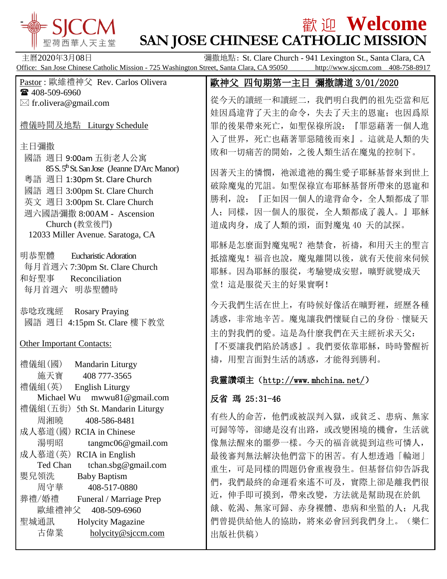**歡迎 Welcome - SAN JOSE CHINESE CATHOLIC MISSION** 聖荷西華人天主堂 主曆2020年3月08日 **Detail The Detail Team of The Party Team of The Party Team of The Party Team of The Party Team of T** Office: San Jose Chinese Catholic Mission - 725 Washington Street, Santa Clara, CA 95050 http://www.sjccm.com 408-758-8917 Pastor : 歐維禮神父 Rev. Carlos Olivera 歐神父 四旬期第一主日 彌撒講道 3/01/2020 ■ 408-509-6960 從今天的讀經一和讀經二,我們明白我們的祖先亞當和厄  $\boxtimes$  fr.olivera@gmail.com 娃因爲違背了天主的命令,失去了天主的恩寵;也因爲原 禮儀時間及地點 Liturgy Schedule 罪的後果帶來死亡,如聖保祿所說:『罪惡藉著一個人進 入了世界,死亡也藉著罪惡隨後而來』。這就是人類的失 主日彌撒 敗和一切痛苦的開始,之後人類生活在魔鬼的控制下。 國語 週日 9:00am 五街老人公寓 85 S. 5<sup>th</sup> St. San Jose (Jeanne D'Arc Manor) 因著天主的憐憫,祂派遣祂的獨生愛子耶穌基督來到世上 粵語 週日 1:30pm St. Clare Church 破除魔鬼的咒詛。如聖保祿宣布耶穌基督所帶來的恩寵和 國語 週日 3:00pm St. Clare Church 勝利,說:『正如因一個人的違背命令,全人類都成了罪 英文 週日 3:00pm St. Clare Church 人;同樣,因一個人的服從,全人類都成了義人。』耶穌 週六國語彌撒 8:00AM - Ascension 道成肉身,成了人類的頭,面對魔鬼 40 天的試探。 Church (教堂後門) 12033 Miller Avenue. Saratoga, CA 耶穌是怎麼面對魔鬼呢?祂禁食,祈禱,和用天主的聖言 明恭聖體 Eucharistic Adoration 抵擋魔鬼!福音也說, 魔鬼離開以後, 就有天使前來伺候 每月首週六 7:30pm St. Clare Church 耶穌。因為耶穌的服從,考驗變成安慰,曠野就變成天 和好聖事 Reconciliation 堂!這是服從天主的好果實啊! 每月首週六 明恭聖體時 今天我們生活在世上,有時候好像活在曠野裡,經歷各種 恭唸玫瑰經 Rosary Praying 誘惑,非常地辛苦。魔鬼讓我們懷疑自己的身份、懷疑天 國語 週日 4:15pm St. Clare 樓下教堂 主的對我們的愛。這是為什麼我們在天主經祈求天父: Other Important Contacts: 『不要讓我們陷於誘惑』。我們要依靠耶穌,時時警醒祈 禱,用聖言面對生活的誘惑,才能得到勝利。 禮儀組(國) Mandarin Liturgy 施天寶 408 777-3565 我靈讚頌主(<http://www.mhchina.net/>) 禮儀組(英) English Liturgy Ĩ. Michael Wu mwwu81@gmail.com 反省 瑪 25:31-46 禮儀組(五街) 5th St. Mandarin Liturgy 有些人的命苦,他們或被誤判入獄,或貧乏、患病、無家 周湘曉 408-586-8481 可歸等等,卻總是沒有出路,或改變困境的機會,生活就 成人慕道(國) RCIA in Chinese 像無法醒來的噩夢一樣。今天的福音就提到這些可憐人, 湯明昭 tangmc06@gmail.com 成人慕道(英) RCIA in English 最後審判無法解決他們當下的困苦。有人想透過「輪迴」 Ted Chan tchan.sbg@gmail.com 重生,可是同樣的問題仍會重複發生。但基督信仰告訴我 嬰兒領洗 Baby Baptism 們,我們最終的命運看來遙不可及,實際上卻是離我們很 周守華 408-517-0880 近,伸手即可摸到,帶來改變,方法就是幫助現在於飢

出版社供稿)

餓、乾渴、無家可歸、赤身裸體、患病和坐監的人;凡我 們曾提供給他人的協助,將來必會回到我們身上。(樂仁

葬禮/婚禮 Funeral / Marriage Prep 歐維禮神父 408-509-6960 聖城通訊 Holycity Magazine 古偉業 [holycity@sjccm.com](mailto:holycity@sjccm.com)